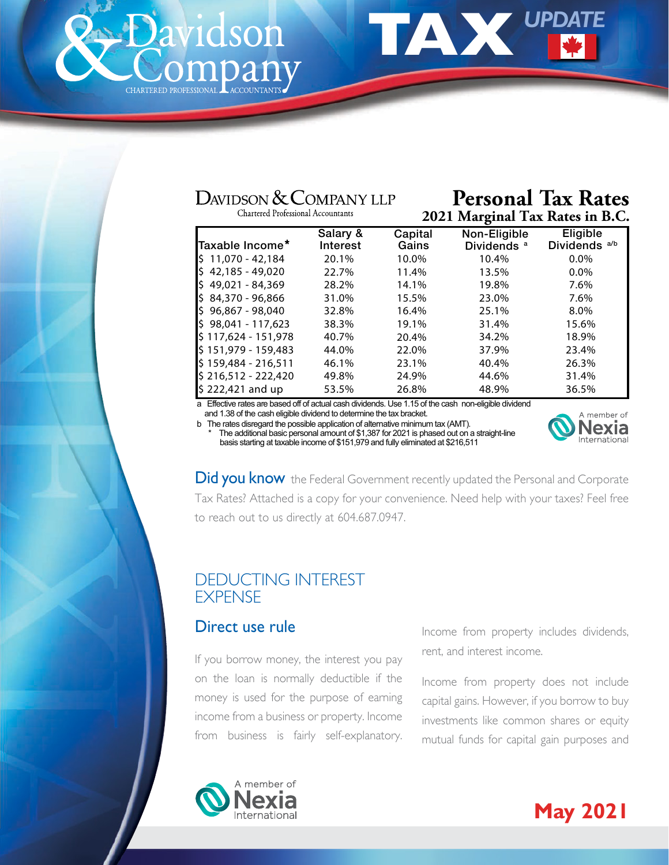<span id="page-0-0"></span>



# DAVIDSON & COMPANY LLP

Chartered Professional Accountants

#### **Personal Tax Rates 2021 Marginal Tax Rates in B.C.**

| Salary & | Capital | Non-Eligible           | Eligible                 |
|----------|---------|------------------------|--------------------------|
| Interest | Gains   | Dividends <sup>a</sup> | Dividends <sup>a/b</sup> |
| 20.1%    | 10.0%   | 10.4%                  | $0.0\%$                  |
| 22.7%    | 11.4%   | 13.5%                  | $0.0\%$                  |
| 28.2%    | 14.1%   | 19.8%                  | 7.6%                     |
| 31.0%    | 15.5%   | 23.0%                  | 7.6%                     |
| 32.8%    | 16.4%   | 25.1%                  | 8.0%                     |
| 38.3%    | 19.1%   | 31.4%                  | 15.6%                    |
| 40.7%    | 20.4%   | 34.2%                  | 18.9%                    |
| 44.0%    | 22.0%   | 37.9%                  | 23.4%                    |
| 46.1%    | 23.1%   | 40.4%                  | 26.3%                    |
| 49.8%    | 24.9%   | 44.6%                  | 31.4%                    |
| 53.5%    | 26.8%   | 48.9%                  | 36.5%                    |
|          |         |                        |                          |

a Effective rates are based off of actual cash dividends. Use 1.15 of the cash non-eligible dividend and 1.38 of the cash eligible dividend to determine the tax bracket.

b The rates disregard the possible application of alternative minimum tax (AMT).



\* The additional basic personal amount of \$1,387 for 2021 is phased out on a straight-line basis starting at taxable income of \$151,979 and fully eliminated at \$216,511

**Did you know** the Federal Government recently updated the Personal and Corporate Tax Rates? Attached is a copy for your convenience. Need help with your taxes? Feel free to reach out to us directly at 604.687.0947.

# DEDUCTING INTEREST **EXPENSE**

# Direct use rule

If you borrow money, the interest you pay on the loan is normally deductible if the money is used for the purpose of earning income from a business or property. Income from business is fairly self-explanatory. Income from property includes dividends, rent, and interest income.

Income from property does not include capital gains. However, if you borrow to buy investments like common shares or equity mutual funds for capital gain purposes and



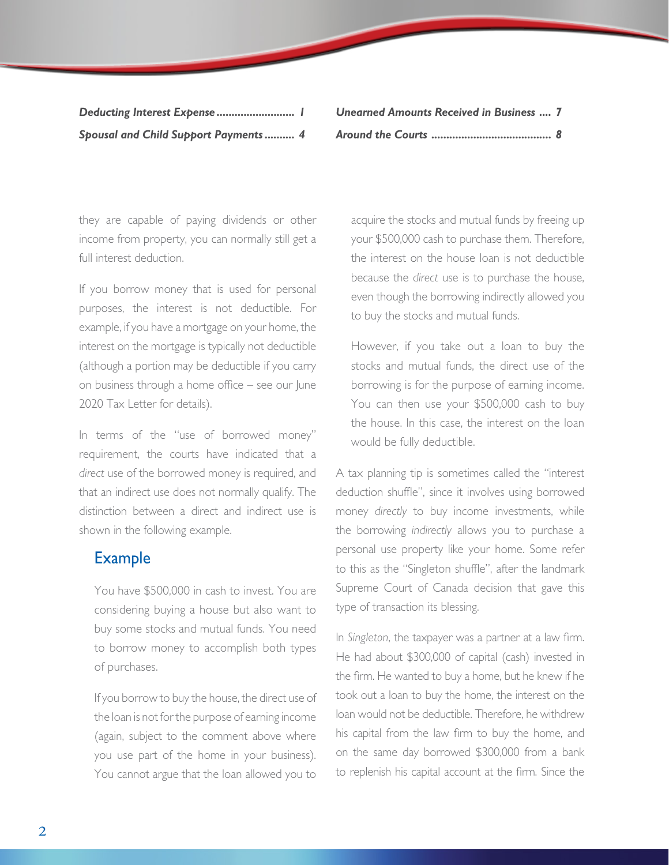| Deducting Interest Expense  1                |  |
|----------------------------------------------|--|
| <b>Spousal and Child Support Payments  4</b> |  |

*[Unearned Amounts Received in Business .... 7](#page-6-0) [Around the Courts ........................................ 8](#page-7-0)*

they are capable of paying dividends or other income from property, you can normally still get a full interest deduction.

If you borrow money that is used for personal purposes, the interest is not deductible. For example, if you have a mortgage on your home, the interest on the mortgage is typically not deductible (although a portion may be deductible if you carry on business through a home office – see our June 2020 Tax Letter for details).

In terms of the "use of borrowed money" requirement, the courts have indicated that a *direct* use of the borrowed money is required, and that an indirect use does not normally qualify. The distinction between a direct and indirect use is shown in the following example.

#### Example

 You have \$500,000 in cash to invest. You are considering buying a house but also want to buy some stocks and mutual funds. You need to borrow money to accomplish both types of purchases.

 If you borrow to buy the house, the direct use of the loan is not for the purpose of earning income (again, subject to the comment above where you use part of the home in your business). You cannot argue that the loan allowed you to

acquire the stocks and mutual funds by freeing up your \$500,000 cash to purchase them. Therefore, the interest on the house loan is not deductible because the *direct* use is to purchase the house, even though the borrowing indirectly allowed you to buy the stocks and mutual funds.

 However, if you take out a loan to buy the stocks and mutual funds, the direct use of the borrowing is for the purpose of earning income. You can then use your \$500,000 cash to buy the house. In this case, the interest on the loan would be fully deductible.

A tax planning tip is sometimes called the "interest deduction shuffle", since it involves using borrowed money *directly* to buy income investments, while the borrowing *indirectly* allows you to purchase a personal use property like your home. Some refer to this as the "Singleton shuffle", after the landmark Supreme Court of Canada decision that gave this type of transaction its blessing.

In *Singleton*, the taxpayer was a partner at a law firm. He had about \$300,000 of capital (cash) invested in the firm. He wanted to buy a home, but he knew if he took out a loan to buy the home, the interest on the loan would not be deductible. Therefore, he withdrew his capital from the law firm to buy the home, and on the same day borrowed \$300,000 from a bank to replenish his capital account at the firm. Since the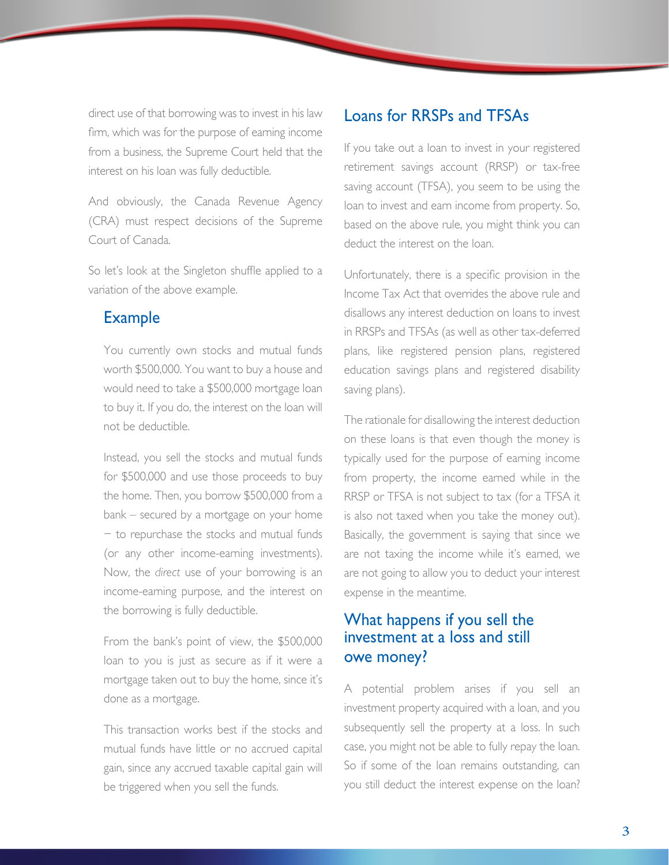direct use of that borrowing was to invest in his law firm, which was for the purpose of earning income from a business, the Supreme Court held that the interest on his loan was fully deductible.

And obviously, the Canada Revenue Agency (CRA) must respect decisions of the Supreme Court of Canada.

So let's look at the Singleton shuffle applied to a variation of the above example.

## Example

 You currently own stocks and mutual funds worth \$500,000. You want to buy a house and would need to take a \$500,000 mortgage loan to buy it. If you do, the interest on the loan will not be deductible.

 Instead, you sell the stocks and mutual funds for \$500,000 and use those proceeds to buy the home. Then, you borrow \$500,000 from a bank – secured by a mortgage on your home − to repurchase the stocks and mutual funds (or any other income-earning investments). Now, the *direct* use of your borrowing is an income-earning purpose, and the interest on the borrowing is fully deductible.

 From the bank's point of view, the \$500,000 loan to you is just as secure as if it were a mortgage taken out to buy the home, since it's done as a mortgage.

 This transaction works best if the stocks and mutual funds have little or no accrued capital gain, since any accrued taxable capital gain will be triggered when you sell the funds.

## Loans for RRSPs and TFSAs

If you take out a loan to invest in your registered retirement savings account (RRSP) or tax-free saving account (TFSA), you seem to be using the loan to invest and earn income from property. So, based on the above rule, you might think you can deduct the interest on the loan.

Unfortunately, there is a specific provision in the Income Tax Act that overrides the above rule and disallows any interest deduction on loans to invest in RRSPs and TFSAs (as well as other tax-deferred plans, like registered pension plans, registered education savings plans and registered disability saving plans).

The rationale for disallowing the interest deduction on these loans is that even though the money is typically used for the purpose of earning income from property, the income earned while in the RRSP or TFSA is not subject to tax (for a TFSA it is also not taxed when you take the money out). Basically, the government is saying that since we are not taxing the income while it's earned, we are not going to allow you to deduct your interest expense in the meantime.

# What happens if you sell the investment at a loss and still owe money?

A potential problem arises if you sell an investment property acquired with a loan, and you subsequently sell the property at a loss. In such case, you might not be able to fully repay the loan. So if some of the loan remains outstanding, can you still deduct the interest expense on the loan?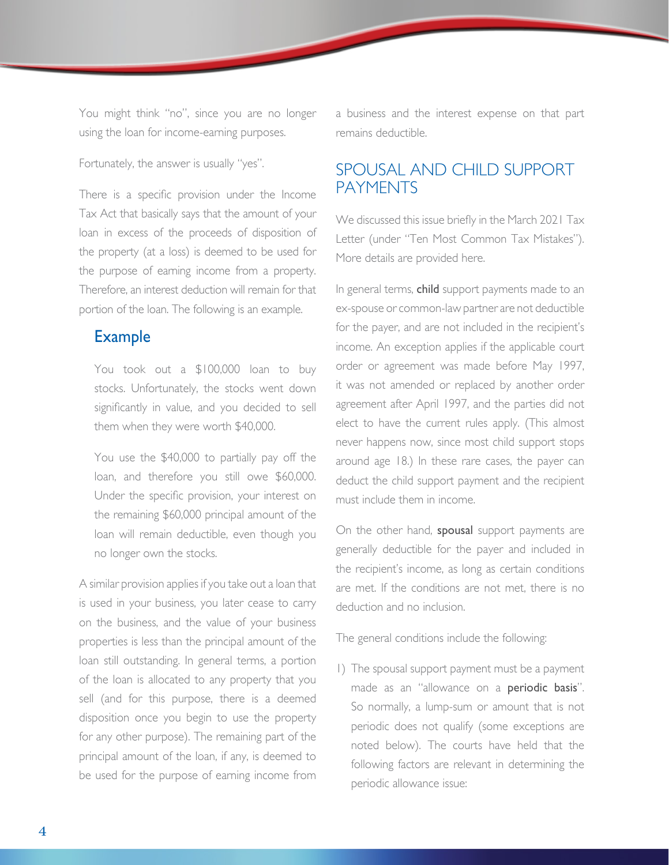<span id="page-3-0"></span>You might think "no", since you are no longer using the loan for income-earning purposes.

Fortunately, the answer is usually "yes".

There is a specific provision under the Income Tax Act that basically says that the amount of your loan in excess of the proceeds of disposition of the property (at a loss) is deemed to be used for the purpose of earning income from a property. Therefore, an interest deduction will remain for that portion of the loan. The following is an example.

# Example

 You took out a \$100,000 loan to buy stocks. Unfortunately, the stocks went down significantly in value, and you decided to sell them when they were worth \$40,000.

 You use the \$40,000 to partially pay off the loan, and therefore you still owe \$60,000. Under the specific provision, your interest on the remaining \$60,000 principal amount of the loan will remain deductible, even though you no longer own the stocks.

A similar provision applies if you take out a loan that is used in your business, you later cease to carry on the business, and the value of your business properties is less than the principal amount of the loan still outstanding. In general terms, a portion of the loan is allocated to any property that you sell (and for this purpose, there is a deemed disposition once you begin to use the property for any other purpose). The remaining part of the principal amount of the loan, if any, is deemed to be used for the purpose of earning income from

a business and the interest expense on that part remains deductible.

# SPOUSAL AND CHILD SUPPORT PAYMENTS

We discussed this issue briefly in the March 2021 Tax Letter (under "Ten Most Common Tax Mistakes"). More details are provided here.

In general terms, child support payments made to an ex-spouse or common-law partner are not deductible for the payer, and are not included in the recipient's income. An exception applies if the applicable court order or agreement was made before May 1997, it was not amended or replaced by another order agreement after April 1997, and the parties did not elect to have the current rules apply. (This almost never happens now, since most child support stops around age 18.) In these rare cases, the payer can deduct the child support payment and the recipient must include them in income.

On the other hand, **spousal** support payments are generally deductible for the payer and included in the recipient's income, as long as certain conditions are met. If the conditions are not met, there is no deduction and no inclusion.

The general conditions include the following:

1) The spousal support payment must be a payment made as an "allowance on a **periodic basis**". So normally, a lump-sum or amount that is not periodic does not qualify (some exceptions are noted below). The courts have held that the following factors are relevant in determining the periodic allowance issue: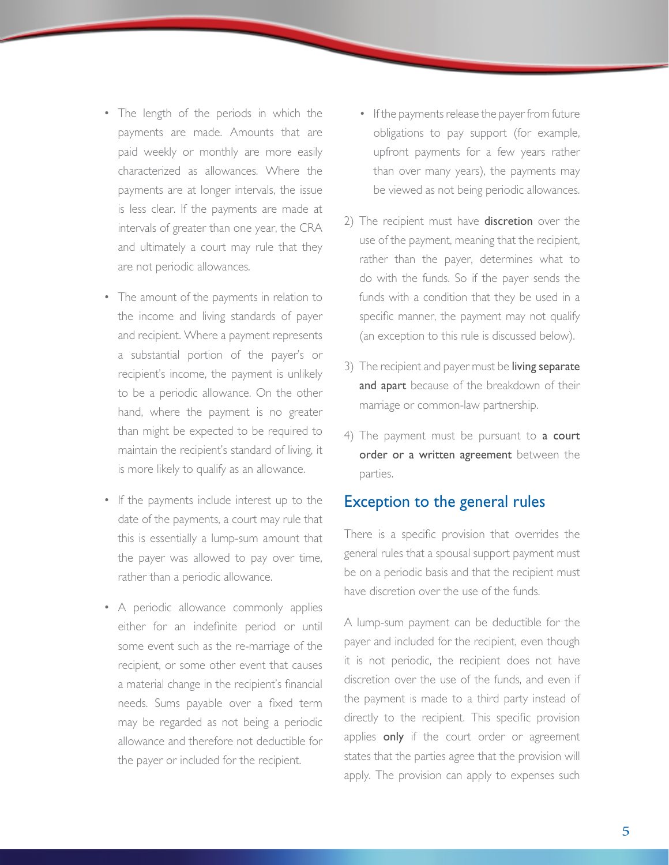- The length of the periods in which the payments are made. Amounts that are paid weekly or monthly are more easily characterized as allowances. Where the payments are at longer intervals, the issue is less clear. If the payments are made at intervals of greater than one year, the CRA and ultimately a court may rule that they are not periodic allowances.
- The amount of the payments in relation to the income and living standards of payer and recipient. Where a payment represents a substantial portion of the payer's or recipient's income, the payment is unlikely to be a periodic allowance. On the other hand, where the payment is no greater than might be expected to be required to maintain the recipient's standard of living, it is more likely to qualify as an allowance.
- If the payments include interest up to the date of the payments, a court may rule that this is essentially a lump-sum amount that the payer was allowed to pay over time, rather than a periodic allowance.
- A periodic allowance commonly applies either for an indefinite period or until some event such as the re-marriage of the recipient, or some other event that causes a material change in the recipient's financial needs. Sums payable over a fixed term may be regarded as not being a periodic allowance and therefore not deductible for the payer or included for the recipient.
- If the payments release the payer from future obligations to pay support (for example, upfront payments for a few years rather than over many years), the payments may be viewed as not being periodic allowances.
- 2) The recipient must have discretion over the use of the payment, meaning that the recipient, rather than the payer, determines what to do with the funds. So if the payer sends the funds with a condition that they be used in a specific manner, the payment may not qualify (an exception to this rule is discussed below).
- 3) The recipient and payer must be living separate and apart because of the breakdown of their marriage or common-law partnership.
- 4) The payment must be pursuant to a court order or a written agreement between the parties.

#### Exception to the general rules

There is a specific provision that overrides the general rules that a spousal support payment must be on a periodic basis and that the recipient must have discretion over the use of the funds.

A lump-sum payment can be deductible for the payer and included for the recipient, even though it is not periodic, the recipient does not have discretion over the use of the funds, and even if the payment is made to a third party instead of directly to the recipient. This specific provision applies only if the court order or agreement states that the parties agree that the provision will apply. The provision can apply to expenses such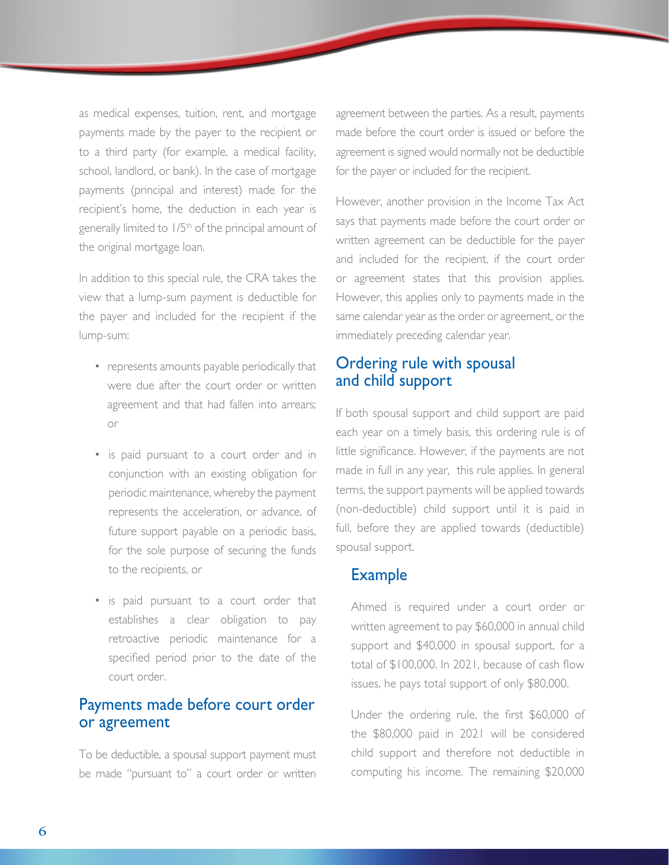as medical expenses, tuition, rent, and mortgage payments made by the payer to the recipient or to a third party (for example, a medical facility, school, landlord, or bank). In the case of mortgage payments (principal and interest) made for the recipient's home, the deduction in each year is generally limited to 1/5<sup>th</sup> of the principal amount of the original mortgage loan.

In addition to this special rule, the CRA takes the view that a lump-sum payment is deductible for the payer and included for the recipient if the lump-sum:

- represents amounts payable periodically that were due after the court order or written agreement and that had fallen into arrears; or
- is paid pursuant to a court order and in conjunction with an existing obligation for periodic maintenance, whereby the payment represents the acceleration, or advance, of future support payable on a periodic basis, for the sole purpose of securing the funds to the recipients, or
- is paid pursuant to a court order that establishes a clear obligation to pay retroactive periodic maintenance for a specified period prior to the date of the court order.

## Payments made before court order or agreement

To be deductible, a spousal support payment must be made "pursuant to" a court order or written agreement between the parties. As a result, payments made before the court order is issued or before the agreement is signed would normally not be deductible for the payer or included for the recipient.

However, another provision in the Income Tax Act says that payments made before the court order or written agreement can be deductible for the payer and included for the recipient, if the court order or agreement states that this provision applies. However, this applies only to payments made in the same calendar year as the order or agreement, or the immediately preceding calendar year.

## Ordering rule with spousal and child support

If both spousal support and child support are paid each year on a timely basis, this ordering rule is of little significance. However, if the payments are not made in full in any year, this rule applies. In general terms, the support payments will be applied towards (non-deductible) child support until it is paid in full, before they are applied towards (deductible) spousal support.

#### Example

 Ahmed is required under a court order or written agreement to pay \$60,000 in annual child support and \$40,000 in spousal support, for a total of \$100,000. In 2021, because of cash flow issues, he pays total support of only \$80,000.

 Under the ordering rule, the first \$60,000 of the \$80,000 paid in 2021 will be considered child support and therefore not deductible in computing his income. The remaining \$20,000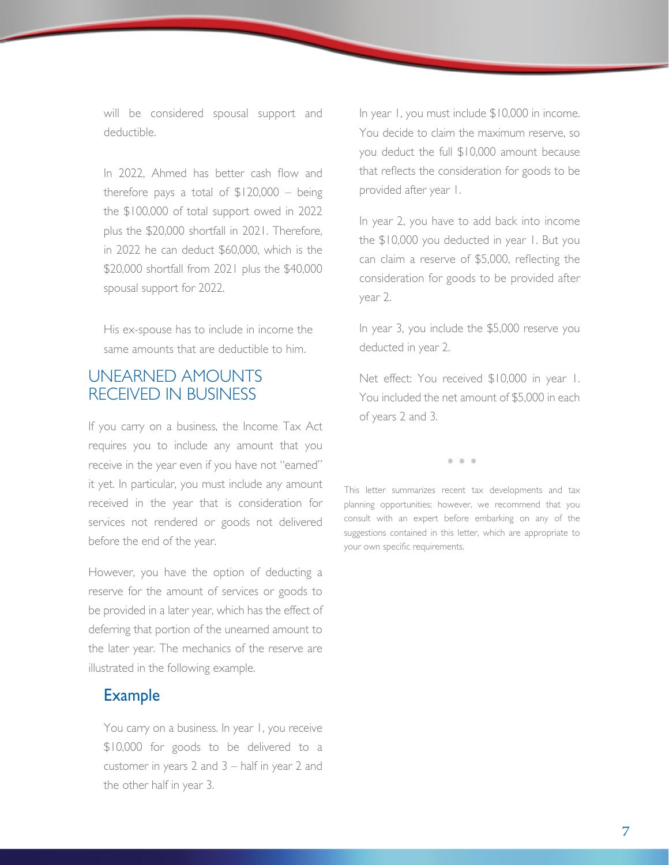<span id="page-6-0"></span>will be considered spousal support and deductible.

 In 2022, Ahmed has better cash flow and therefore pays a total of  $$120,000 - being$ the \$100,000 of total support owed in 2022 plus the \$20,000 shortfall in 2021. Therefore, in 2022 he can deduct \$60,000, which is the \$20,000 shortfall from 2021 plus the \$40,000 spousal support for 2022.

 His ex-spouse has to include in income the same amounts that are deductible to him.

## UNEARNED AMOUNTS RECEIVED IN BUSINESS

If you carry on a business, the Income Tax Act requires you to include any amount that you receive in the year even if you have not "earned" it yet. In particular, you must include any amount received in the year that is consideration for services not rendered or goods not delivered before the end of the year.

However, you have the option of deducting a reserve for the amount of services or goods to be provided in a later year, which has the effect of deferring that portion of the unearned amount to the later year. The mechanics of the reserve are illustrated in the following example.

# Example

 You carry on a business. In year 1, you receive \$10,000 for goods to be delivered to a customer in years 2 and 3 – half in year 2 and the other half in year 3.

 In year 1, you must include \$10,000 in income. You decide to claim the maximum reserve, so you deduct the full \$10,000 amount because that reflects the consideration for goods to be provided after year 1.

 In year 2, you have to add back into income the \$10,000 you deducted in year 1. But you can claim a reserve of \$5,000, reflecting the consideration for goods to be provided after year 2.

 In year 3, you include the \$5,000 reserve you deducted in year 2.

 Net effect: You received \$10,000 in year 1. You included the net amount of \$5,000 in each of years 2 and 3.

\* \* \*

This letter summarizes recent tax developments and tax planning opportunities; however, we recommend that you consult with an expert before embarking on any of the suggestions contained in this letter, which are appropriate to your own specific requirements.